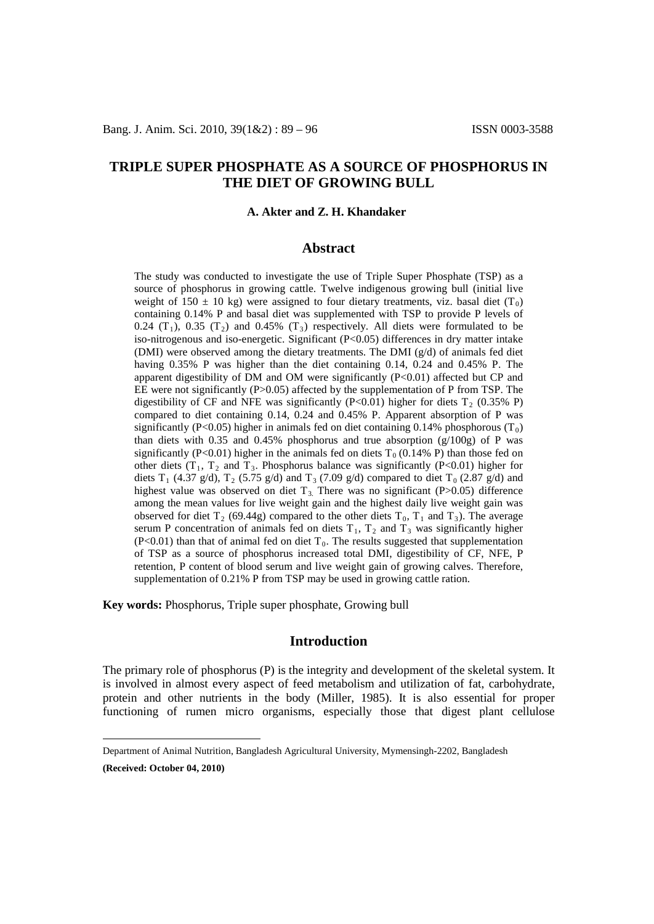# **TRIPLE SUPER PHOSPHATE AS A SOURCE OF PHOSPHORUS IN THE DIET OF GROWING BULL**

### A. Akter and Z. H. Khandaker

### **Abstract**

The study was conducted to investigate the use of Triple Super Phosphate (TSP) as a source of phosphorus in growing cattle. Twelve indigenous growing bull (initial live weight of 150  $\pm$  10 kg) were assigned to four dietary treatments, viz. basal diet (T<sub>0</sub>) containing 0.14% P and basal diet was supplemented with TSP to provide P levels of 0.24 (T<sub>1</sub>), 0.35 (T<sub>2</sub>) and 0.45% (T<sub>3</sub>) respectively. All diets were formulated to be iso-nitrogenous and iso-energetic. Significant (P<0.05) differences in dry matter intake (DMI) were observed among the dietary treatments. The DMI (g/d) of animals fed diet having 0.35% P was higher than the diet containing 0.14, 0.24 and 0.45% P. The apparent digestibility of DM and OM were significantly (P<0.01) affected but CP and EE were not significantly (P>0.05) affected by the supplementation of P from TSP. The digestibility of CF and NFE was significantly  $(P<0.01)$  higher for diets  $T_2$  (0.35% P) compared to diet containing 0.14, 0.24 and 0.45% P. Apparent absorption of P was significantly (P<0.05) higher in animals fed on diet containing 0.14% phosphorous (T<sub>0</sub>) than diets with 0.35 and 0.45% phosphorus and true absorption  $(g/100g)$  of P was significantly (P<0.01) higher in the animals fed on diets  $T_0$  (0.14% P) than those fed on other diets  $(T_1, T_2, T_3)$  and  $T_3$ . Phosphorus balance was significantly (P<0.01) higher for diets T<sub>1</sub> (4.37 g/d), T<sub>2</sub> (5.75 g/d) and T<sub>3</sub> (7.09 g/d) compared to diet T<sub>0</sub> (2.87 g/d) and highest value was observed on diet  $T_3$ . There was no significant (P>0.05) difference among the mean values for live weight gain and the highest daily live weight gain was observed for diet  $T_2$  (69.44g) compared to the other diets  $T_0$ ,  $T_1$  and  $T_3$ ). The average serum P concentration of animals fed on diets  $T_1$ ,  $T_2$  and  $T_3$  was significantly higher  $(P<0.01)$  than that of animal fed on diet T<sub>0</sub>. The results suggested that supplementation of TSP as a source of phosphorus increased total DMI, digestibility of CF, NFE, P retention, P content of blood serum and live weight gain of growing calves. Therefore, supplementation of 0.21% P from TSP may be used in growing cattle ration.

**Key words:** Phosphorus, Triple super phosphate, Growing bull

## **Introduction**

The primary role of phosphorus (P) is the integrity and development of the skeletal system. It is involved in almost every aspect of feed metabolism and utilization of fat, carbohydrate, protein and other nutrients in the body (Miller, 1985). It is also essential for proper functioning of rumen micro organisms, especially those that digest plant cellulose

<span id="page-0-0"></span>Department of Animal Nutrition, Bangladesh Agricultural University, Mymensingh-2202, Bangladesh

**<sup>(</sup>Received: October 04, 2010)**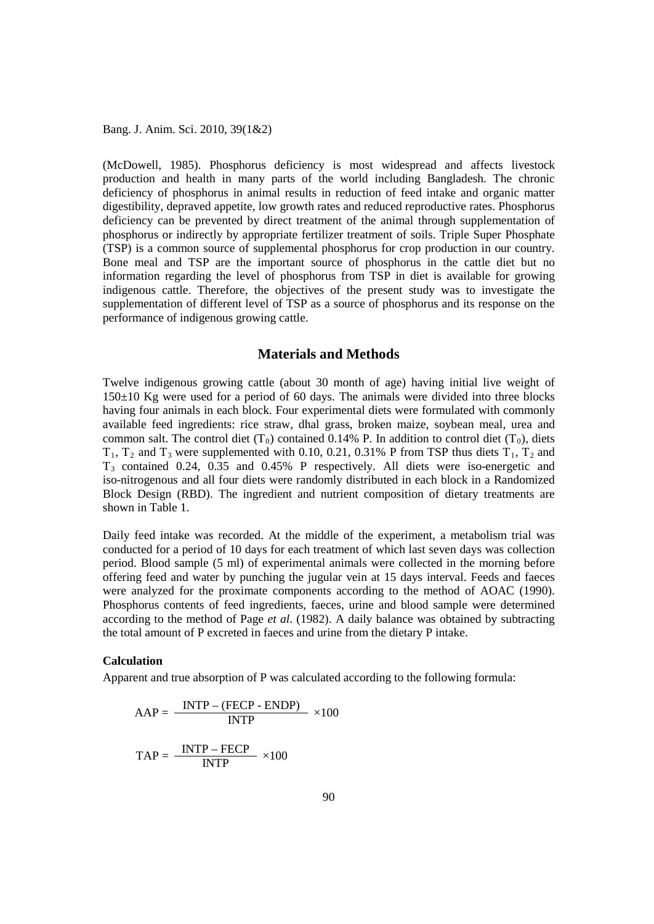(McDowell, 1985). Phosphorus deficiency is most widespread and affects livestock production and health in many parts of the world including Bangladesh. The chronic deficiency of phosphorus in animal results in reduction of feed intake and organic matter digestibility, depraved appetite, low growth rates and reduced reproductive rates. Phosphorus deficiency can be prevented by direct treatment of the animal through supplementation of phosphorus or indirectly by appropriate fertilizer treatment of soils. Triple Super Phosphate (TSP) is a common source of supplemental phosphorus for crop production in our country. Bone meal and TSP are the important source of phosphorus in the cattle diet but no information regarding the level of phosphorus from TSP in diet is available for growing indigenous cattle. Therefore, the objectives of the present study was to investigate the supplementation of different level of TSP as a source of phosphorus and its response on the performance of indigenous growing cattle.

# **Materials and Methods**

Twelve indigenous growing cattle (about 30 month of age) having initial live weight of 150±10 Kg were used for a period of 60 days. The animals were divided into three blocks having four animals in each block. Four experimental diets were formulated with commonly available feed ingredients: rice straw, dhal grass, broken maize, soybean meal, urea and common salt. The control diet  $(T_0)$  contained 0.14% P. In addition to control diet  $(T_0)$ , diets  $T_1$ ,  $T_2$  and  $T_3$  were supplemented with 0.10, 0.21, 0.31% P from TSP thus diets  $T_1$ ,  $T_2$  and T3 contained 0.24, 0.35 and 0.45% P respectively. All diets were iso-energetic and iso-nitrogenous and all four diets were randomly distributed in each block in a Randomized Block Design (RBD). The ingredient and nutrient composition of dietary treatments are shown in Table 1.

Daily feed intake was recorded. At the middle of the experiment, a metabolism trial was conducted for a period of 10 days for each treatment of which last seven days was collection period. Blood sample (5 ml) of experimental animals were collected in the morning before offering feed and water by punching the jugular vein at 15 days interval. Feeds and faeces were analyzed for the proximate components according to the method of AOAC (1990). Phosphorus contents of feed ingredients, faeces, urine and blood sample were determined according to the method of Page *et al*. (1982). A daily balance was obtained by subtracting the total amount of P excreted in faeces and urine from the dietary P intake.

#### **Calculation**

Apparent and true absorption of P was calculated according to the following formula:

$$
AAP = \frac{INTP - (FECP - ENDP)}{INTP} \times 100
$$

$$
TAP = \frac{INTP - FECP}{INTP} \times 100
$$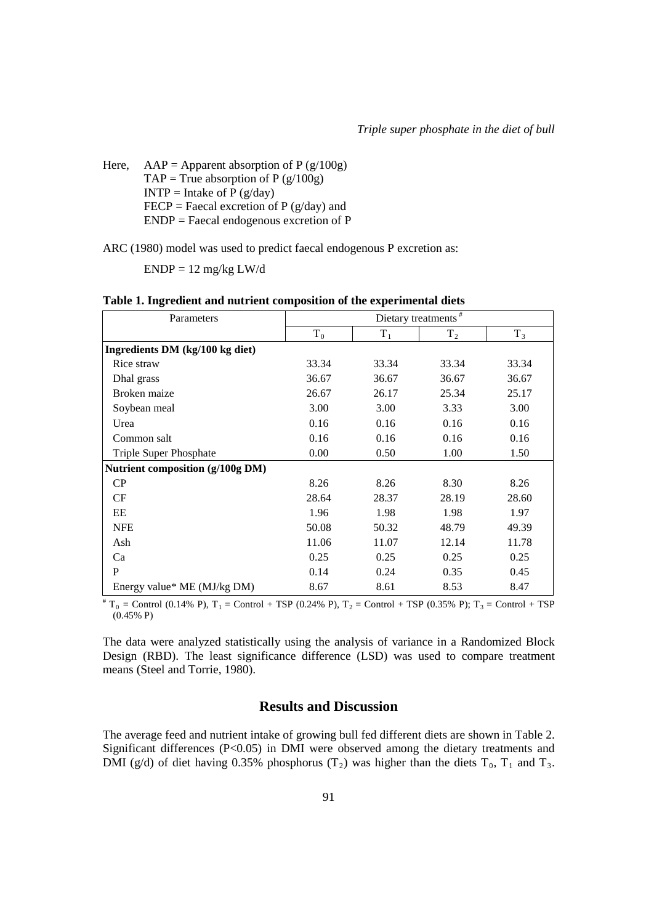$ENDP = 12$  mg/kg  $LW/d$ 

| Parameters                       | Dietary treatments $#$ |       |                |       |  |  |
|----------------------------------|------------------------|-------|----------------|-------|--|--|
|                                  | $T_0$                  | $T_1$ | T <sub>2</sub> | $T_3$ |  |  |
| Ingredients DM (kg/100 kg diet)  |                        |       |                |       |  |  |
| Rice straw                       | 33.34                  | 33.34 | 33.34          | 33.34 |  |  |
| Dhal grass                       | 36.67                  | 36.67 | 36.67          | 36.67 |  |  |
| Broken maize                     | 26.67                  | 26.17 | 25.34          | 25.17 |  |  |
| Soybean meal                     | 3.00                   | 3.00  | 3.33           | 3.00  |  |  |
| Urea                             | 0.16                   | 0.16  | 0.16           | 0.16  |  |  |
| Common salt                      | 0.16                   | 0.16  | 0.16           | 0.16  |  |  |
| <b>Triple Super Phosphate</b>    | 0.00                   | 0.50  | 1.00           | 1.50  |  |  |
| Nutrient composition (g/100g DM) |                        |       |                |       |  |  |
| CP                               | 8.26                   | 8.26  | 8.30           | 8.26  |  |  |
| CF                               | 28.64                  | 28.37 | 28.19          | 28.60 |  |  |
| EE                               | 1.96                   | 1.98  | 1.98           | 1.97  |  |  |
| <b>NFE</b>                       | 50.08                  | 50.32 | 48.79          | 49.39 |  |  |
| Ash                              | 11.06                  | 11.07 | 12.14          | 11.78 |  |  |
| Ca                               | 0.25                   | 0.25  | 0.25           | 0.25  |  |  |
| P                                | 0.14                   | 0.24  | 0.35           | 0.45  |  |  |
| Energy value* ME (MJ/kg DM)      | 8.67                   | 8.61  | 8.53           | 8.47  |  |  |

| Table 1. Ingredient and nutrient composition of the experimental diets |  |  |
|------------------------------------------------------------------------|--|--|
|                                                                        |  |  |

 $*$  T<sub>0</sub> = Control (0.14% P), T<sub>1</sub> = Control + TSP (0.24% P), T<sub>2</sub> = Control + TSP (0.35% P); T<sub>3</sub> = Control + TSP (0.45% P)

The data were analyzed statistically using the analysis of variance in a Randomized Block Design (RBD). The least significance difference (LSD) was used to compare treatment means (Steel and Torrie, 1980).

# **Results and Discussion**

The average feed and nutrient intake of growing bull fed different diets are shown in Table 2. Significant differences (P<0.05) in DMI were observed among the dietary treatments and DMI (g/d) of diet having 0.35% phosphorus (T<sub>2</sub>) was higher than the diets T<sub>0</sub>, T<sub>1</sub> and T<sub>3</sub>.

Here,  $AAP = Apparent absorption of P (g/100g)$ TAP = True absorption of P  $(g/100g)$  $INTP = Intake of P (g/day)$ FECP = Faecal excretion of P  $(g/day)$  and ENDP = Faecal endogenous excretion of P

ARC (1980) model was used to predict faecal endogenous P excretion as: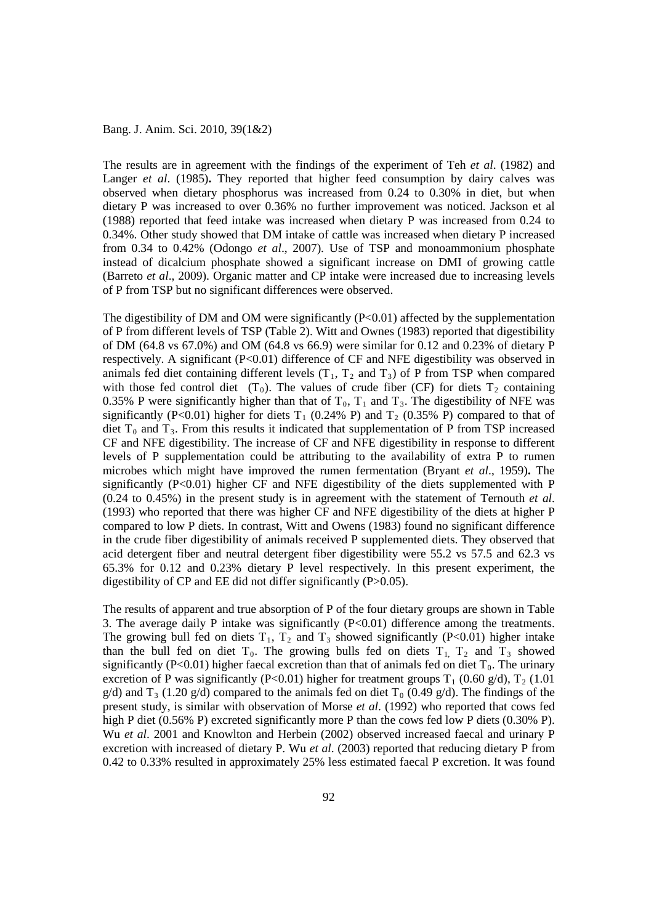The results are in agreement with the findings of the experiment of Teh *et al*. (1982) and Langer *et al.* (1985). They reported that higher feed consumption by dairy calves was observed when dietary phosphorus was increased from 0.24 to 0.30% in diet, but when dietary P was increased to over 0.36% no further improvement was noticed. Jackson et al (1988) reported that feed intake was increased when dietary P was increased from 0.24 to 0.34%. Other study showed that DM intake of cattle was increased when dietary P increased from 0.34 to 0.42% (Odongo *et al*., 2007). Use of TSP and monoammonium phosphate instead of dicalcium phosphate showed a significant increase on DMI of growing cattle (Barreto *et al*., 2009). Organic matter and CP intake were increased due to increasing levels of P from TSP but no significant differences were observed.

The digestibility of DM and OM were significantly  $(P<0.01)$  affected by the supplementation of P from different levels of TSP (Table 2). Witt and Ownes (1983) reported that digestibility of DM (64.8 vs 67.0%) and OM (64.8 vs 66.9) were similar for 0.12 and 0.23% of dietary P respectively. A significant (P<0.01) difference of CF and NFE digestibility was observed in animals fed diet containing different levels  $(T_1, T_2, T_3)$  of P from TSP when compared with those fed control diet  $(T_0)$ . The values of crude fiber (CF) for diets  $T_2$  containing 0.35% P were significantly higher than that of  $T_0$ ,  $T_1$  and  $T_3$ . The digestibility of NFE was significantly (P<0.01) higher for diets  $T_1$  (0.24% P) and  $T_2$  (0.35% P) compared to that of diet  $T_0$  and  $T_3$ . From this results it indicated that supplementation of P from TSP increased CF and NFE digestibility. The increase of CF and NFE digestibility in response to different levels of P supplementation could be attributing to the availability of extra P to rumen microbes which might have improved the rumen fermentation (Bryant *et al*., 1959)**.** The significantly  $(P<0.01)$  higher CF and NFE digestibility of the diets supplemented with P (0.24 to 0.45%) in the present study is in agreement with the statement of Ternouth *et al*. (1993) who reported that there was higher CF and NFE digestibility of the diets at higher P compared to low P diets. In contrast, Witt and Owens (1983) found no significant difference in the crude fiber digestibility of animals received P supplemented diets. They observed that acid detergent fiber and neutral detergent fiber digestibility were 55.2 vs 57.5 and 62.3 vs 65.3% for 0.12 and 0.23% dietary P level respectively. In this present experiment, the digestibility of CP and EE did not differ significantly (P>0.05).

The results of apparent and true absorption of P of the four dietary groups are shown in Table 3. The average daily P intake was significantly  $(P<0.01)$  difference among the treatments. The growing bull fed on diets  $T_1$ ,  $T_2$  and  $T_3$  showed significantly (P<0.01) higher intake than the bull fed on diet  $T_0$ . The growing bulls fed on diets  $T_1$ ,  $T_2$  and  $T_3$  showed significantly (P<0.01) higher faecal excretion than that of animals fed on diet  $T_0$ . The urinary excretion of P was significantly (P<0.01) higher for treatment groups  $T_1$  (0.60 g/d),  $T_2$  (1.01 g/d) and T<sub>3</sub> (1.20 g/d) compared to the animals fed on diet T<sub>0</sub> (0.49 g/d). The findings of the present study, is similar with observation of Morse *et al*. (1992) who reported that cows fed high P diet (0.56% P) excreted significantly more P than the cows fed low P diets (0.30% P). Wu *et al*. 2001 and Knowlton and Herbein (2002) observed increased faecal and urinary P excretion with increased of dietary P. Wu *et al*. (2003) reported that reducing dietary P from 0.42 to 0.33% resulted in approximately 25% less estimated faecal P excretion. It was found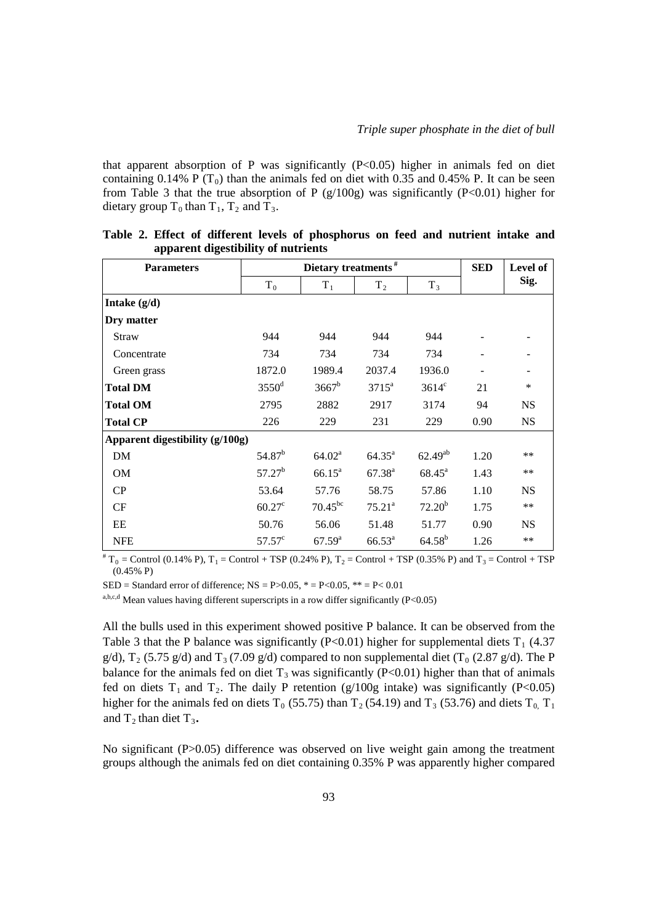that apparent absorption of P was significantly  $(P<0.05)$  higher in animals fed on diet containing 0.14% P ( $T_0$ ) than the animals fed on diet with 0.35 and 0.45% P. It can be seen from Table 3 that the true absorption of P  $(g/100g)$  was significantly (P<0.01) higher for dietary group  $T_0$  than  $T_1$ ,  $T_2$  and  $T_3$ .

| <b>Parameters</b>               |                     | <b>SED</b>         | Level of           |                 |      |           |
|---------------------------------|---------------------|--------------------|--------------------|-----------------|------|-----------|
|                                 | $T_0$               | $T_1$              | T <sub>2</sub>     | $T_3$           |      | Sig.      |
| Intake $(g/d)$                  |                     |                    |                    |                 |      |           |
| Dry matter                      |                     |                    |                    |                 |      |           |
| Straw                           | 944                 | 944                | 944                | 944             |      |           |
| Concentrate                     | 734                 | 734                | 734                | 734             |      |           |
| Green grass                     | 1872.0              | 1989.4             | 2037.4             | 1936.0          |      |           |
| <b>Total DM</b>                 | $3550$ <sup>d</sup> | $3667^b$           | $3715^{\rm a}$     | $3614^{\circ}$  | 21   | $\ast$    |
| <b>Total OM</b>                 | 2795                | 2882               | 2917               | 3174            | 94   | <b>NS</b> |
| <b>Total CP</b>                 | 226                 | 229                | 231                | 229             | 0.90 | <b>NS</b> |
| Apparent digestibility (g/100g) |                     |                    |                    |                 |      |           |
| DM                              | 54.87 <sup>b</sup>  | 64.02 <sup>a</sup> | $64.35^{\circ}$    | $62.49^{ab}$    | 1.20 | **        |
| <b>OM</b>                       | $57.27^b$           | $66.15^{\circ}$    | $67.38^{a}$        | $68.45^{\circ}$ | 1.43 | $**$      |
| CP                              | 53.64               | 57.76              | 58.75              | 57.86           | 1.10 | <b>NS</b> |
| CF                              | $60.27^{\circ}$     | $70.45^{bc}$       | $75.21^a$          | $72.20^b$       | 1.75 | $***$     |
| EE                              | 50.76               | 56.06              | 51.48              | 51.77           | 0.90 | <b>NS</b> |
| <b>NFE</b>                      | $57.57^{\circ}$     | $67.59^{\rm a}$    | $66.53^{\text{a}}$ | $64.58^{b}$     | 1.26 | $***$     |

|  |  |                                     |  | Table 2. Effect of different levels of phosphorus on feed and nutrient intake and |  |  |  |
|--|--|-------------------------------------|--|-----------------------------------------------------------------------------------|--|--|--|
|  |  | apparent digestibility of nutrients |  |                                                                                   |  |  |  |

 ${}^{#}T_0 =$  Control (0.14% P),  $T_1 =$  Control + TSP (0.24% P),  $T_2 =$  Control + TSP (0.35% P) and  $T_3 =$  Control + TSP (0.45% P)

SED = Standard error of difference;  $NS = P > 0.05$ ,  $* = P < 0.05$ ,  $* = P < 0.01$ 

a,b,c,d Mean values having different superscripts in a row differ significantly  $(P<0.05)$ 

All the bulls used in this experiment showed positive P balance. It can be observed from the Table 3 that the P balance was significantly (P<0.01) higher for supplemental diets  $T_1$  (4.37) g/d),  $T_2$  (5.75 g/d) and  $T_3$  (7.09 g/d) compared to non supplemental diet (T<sub>0</sub> (2.87 g/d). The P balance for the animals fed on diet  $T_3$  was significantly (P<0.01) higher than that of animals fed on diets  $T_1$  and  $T_2$ . The daily P retention (g/100g intake) was significantly (P<0.05) higher for the animals fed on diets  $T_0$  (55.75) than  $T_2$  (54.19) and  $T_3$  (53.76) and diets  $T_0$ ,  $T_1$ and  $T_2$  than diet  $T_3$ .

No significant (P>0.05) difference was observed on live weight gain among the treatment groups although the animals fed on diet containing 0.35% P was apparently higher compared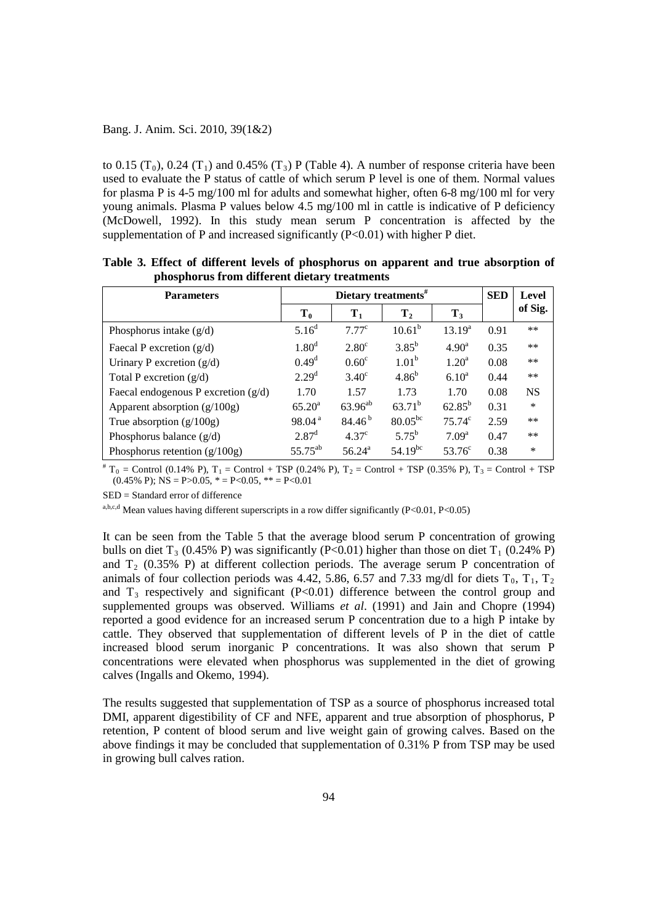to 0.15  $(T_0)$ , 0.24  $(T_1)$  and 0.45%  $(T_3)$  P (Table 4). A number of response criteria have been used to evaluate the P status of cattle of which serum P level is one of them. Normal values for plasma P is 4-5 mg/100 ml for adults and somewhat higher, often 6-8 mg/100 ml for very young animals. Plasma P values below 4.5 mg/100 ml in cattle is indicative of P deficiency (McDowell, 1992). In this study mean serum P concentration is affected by the supplementation of P and increased significantly  $(P<0.01)$  with higher P diet.

| <b>Parameters</b>                     |                    | Dietary treatments $#$ |                   |                    |      |           |  |
|---------------------------------------|--------------------|------------------------|-------------------|--------------------|------|-----------|--|
|                                       | $T_0$              | $T_1$                  | T <sub>2</sub>    | $T_3$              |      | of Sig.   |  |
| Phosphorus intake $(g/d)$             | $5.16^{d}$         | $7.77^{\circ}$         | $10.61^b$         | 13.19 <sup>a</sup> | 0.91 | $***$     |  |
| Faecal P excretion $(g/d)$            | 1.80 <sup>d</sup>  | 2.80 <sup>c</sup>      | $3.85^{b}$        | 4.90 <sup>a</sup>  | 0.35 | $***$     |  |
| Urinary P excretion $(g/d)$           | $0.49^d$           | 0.60 <sup>c</sup>      | 1.01 <sup>b</sup> | $1.20^a$           | 0.08 | **        |  |
| Total P excretion $(g/d)$             | 2.29 <sup>d</sup>  | $3.40^\circ$           | 4.86 <sup>b</sup> | $6.10^{a}$         | 0.44 | **        |  |
| Faecal endogenous P excretion $(g/d)$ | 1.70               | 1.57                   | 1.73              | 1.70               | 0.08 | <b>NS</b> |  |
| Apparent absorption (g/100g)          | $65.20^{\rm a}$    | $63.96^{ab}$           | $63.71^b$         | $62.85^{b}$        | 0.31 | $\ast$    |  |
| True absorption $(g/100g)$            | 98.04 <sup>a</sup> | $84.46^{b}$            | $80.05^{bc}$      | $75.74^c$          | 2.59 | **        |  |
| Phosphorus balance $(g/d)$            | $2.87^{\rm d}$     | 4.37 <sup>c</sup>      | $5.75^{b}$        | 7.09 <sup>a</sup>  | 0.47 | **        |  |
| Phosphorus retention $(g/100g)$       | $55.75^{ab}$       | $56.24^{\circ}$        | $54.19^{bc}$      | 53.76 $^{\circ}$   | 0.38 | $\ast$    |  |

**Table 3. Effect of different levels of phosphorus on apparent and true absorption of phosphorus from different dietary treatments**

 $T_0$  = Control (0.14% P), T<sub>1</sub> = Control + TSP (0.24% P), T<sub>2</sub> = Control + TSP (0.35% P), T<sub>3</sub> = Control + TSP  $(0.45\% \text{ P})$ ; NS = P>0.05,  $* =$  P<0.05,  $* =$  P<0.01

SED = Standard error of difference

a,b,c,d Mean values having different superscripts in a row differ significantly (P<0.01, P<0.05)

It can be seen from the Table 5 that the average blood serum P concentration of growing bulls on diet T<sub>3</sub> (0.45% P) was significantly (P<0.01) higher than those on diet T<sub>1</sub> (0.24% P) and  $T_2$  (0.35% P) at different collection periods. The average serum P concentration of animals of four collection periods was 4.42, 5.86, 6.57 and 7.33 mg/dl for diets  $T_0$ ,  $T_1$ ,  $T_2$ and  $T_3$  respectively and significant (P<0.01) difference between the control group and supplemented groups was observed. Williams *et al*. (1991) and Jain and Chopre (1994) reported a good evidence for an increased serum P concentration due to a high P intake by cattle. They observed that supplementation of different levels of P in the diet of cattle increased blood serum inorganic P concentrations. It was also shown that serum P concentrations were elevated when phosphorus was supplemented in the diet of growing calves (Ingalls and Okemo, 1994).

The results suggested that supplementation of TSP as a source of phosphorus increased total DMI, apparent digestibility of CF and NFE, apparent and true absorption of phosphorus, P retention, P content of blood serum and live weight gain of growing calves. Based on the above findings it may be concluded that supplementation of 0.31% P from TSP may be used in growing bull calves ration.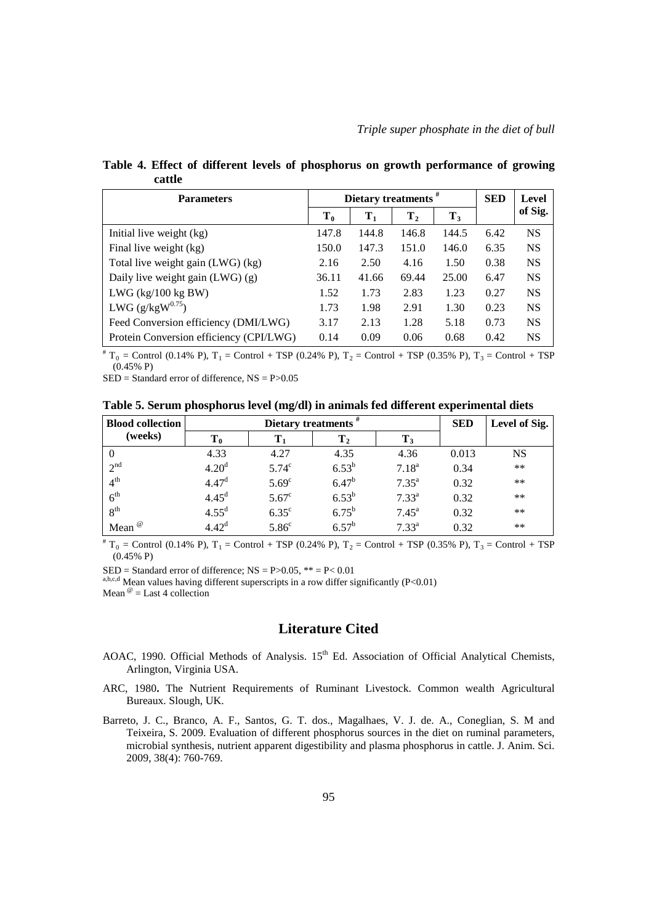**Table 4. Effect of different levels of phosphorus on growth performance of growing cattle**

| <b>Parameters</b>                       | Dietary treatments $#$ | <b>SED</b>     | Level          |       |      |           |
|-----------------------------------------|------------------------|----------------|----------------|-------|------|-----------|
|                                         | $\mathbf{T_0}$         | $\mathbf{T}_1$ | $\mathbf{T}_2$ | $T_3$ |      | of Sig.   |
| Initial live weight (kg)                | 147.8                  | 144.8          | 146.8          | 144.5 | 6.42 | <b>NS</b> |
| Final live weight (kg)                  | 150.0                  | 147.3          | 151.0          | 146.0 | 6.35 | <b>NS</b> |
| Total live weight gain (LWG) (kg)       | 2.16                   | 2.50           | 4.16           | 1.50  | 0.38 | <b>NS</b> |
| Daily live weight gain $(LWG)(g)$       | 36.11                  | 41.66          | 69.44          | 25.00 | 6.47 | <b>NS</b> |
| LWG $(kg/100 kg BW)$                    | 1.52                   | 1.73           | 2.83           | 1.23  | 0.27 | <b>NS</b> |
| LWG $(g/kgW^{0.75})$                    | 1.73                   | 1.98           | 2.91           | 1.30  | 0.23 | <b>NS</b> |
| Feed Conversion efficiency (DMI/LWG)    | 3.17                   | 2.13           | 1.28           | 5.18  | 0.73 | <b>NS</b> |
| Protein Conversion efficiency (CPI/LWG) | 0.14                   | 0.09           | 0.06           | 0.68  | 0.42 | <b>NS</b> |

 $T_0$  = Control (0.14% P), T<sub>1</sub> = Control + TSP (0.24% P), T<sub>2</sub> = Control + TSP (0.35% P), T<sub>3</sub> = Control + TSP (0.45% P)

SED = Standard error of difference, NS = P>0.05

**Table 5. Serum phosphorus level (mg/dl) in animals fed different experimental diets**

| <b>Blood collection</b> |                   | Dietary treatments # | <b>SED</b>     | Level of Sig.  |       |           |
|-------------------------|-------------------|----------------------|----------------|----------------|-------|-----------|
| (weeks)                 | $\mathbf{T_0}$    |                      | $\bf{T}_2$     | $T_3$          |       |           |
|                         | 4.33              | 4.27                 | 4.35           | 4.36           | 0.013 | <b>NS</b> |
| 2 <sup>nd</sup>         | 4.20 <sup>d</sup> | 5.74 <sup>c</sup>    | $6.53^{b}$     | $7.18^{a}$     | 0.34  | **        |
| 4 <sup>th</sup>         | 4.47 <sup>d</sup> | 5.69 <sup>c</sup>    | $6.47^{b}$     | $7.35^{\rm a}$ | 0.32  | $***$     |
| 6 <sup>th</sup>         | 4.45 <sup>d</sup> | $5.67^{\circ}$       | $6.53^{b}$     | $7.33^{a}$     | 0.32  | **        |
| 8 <sup>th</sup>         | 4.55 <sup>d</sup> | $6.35^{\circ}$       | $6.75^{\rm b}$ | $7.45^{\rm a}$ | 0.32  | $***$     |
| Mean <sup>@</sup>       | 4.42 <sup>d</sup> | 5.86 <sup>c</sup>    | $6.57^{b}$     | $7.33^{a}$     | 0.32  | $***$     |

 ${}^{#}T_0 =$  Control (0.14% P),  $T_1 =$  Control + TSP (0.24% P),  $T_2 =$  Control + TSP (0.35% P),  $T_3 =$  Control + TSP (0.45% P)

SED = Standard error of difference; NS = P>0.05, \*\* = P< 0.01 a,b,c,d Mean values having different superscripts in a row differ significantly (P<0.01) Mean  $\omega$  = Last 4 collection

# **Literature Cited**

- AOAC, 1990. Official Methods of Analysis. 15<sup>th</sup> Ed. Association of Official Analytical Chemists, Arlington, Virginia USA.
- ARC, 1980**.** The Nutrient Requirements of Ruminant Livestock. Common wealth Agricultural Bureaux. Slough, UK.
- Barreto, J. C., Branco, A. F., Santos, G. T. dos., Magalhaes, V. J. de. A., Coneglian, S. M and Teixeira, S. 2009. Evaluation of different phosphorus sources in the diet on ruminal parameters, microbial synthesis, nutrient apparent digestibility and plasma phosphorus in cattle. J. Anim. Sci. 2009, 38(4): 760-769.